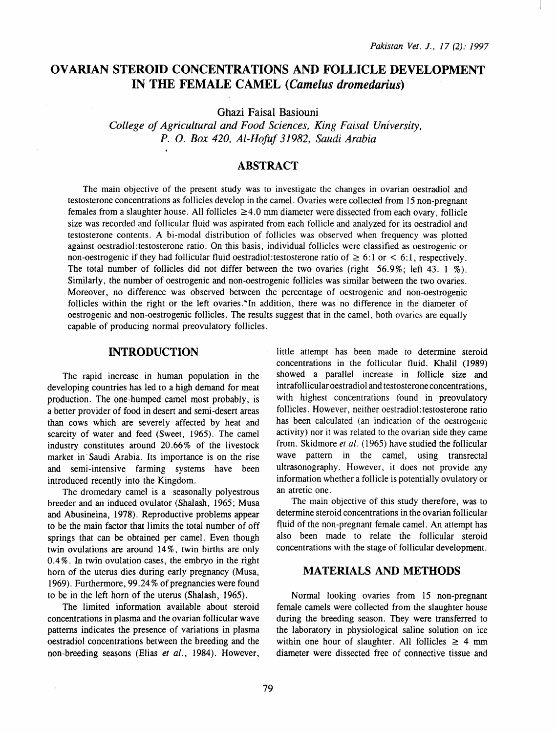# OVARIAN STEROID CONCENTRATIONS AND FOLLICLE DEVELOPMENT IN THE FEMALE CAMEL *(Camelus dromedarius)*

Ghazi Faisal Basiouni

*College of Agricultural and Food Sciences, King Faisal University, P. 0. Box 420, Al-Hofuf 31982, Saudi Arabia* 

## **ABSTRACT**

The main objective of the present study was to investigate the changes in ovarian oestradiol and testosterone concentrations as follicles develop in the camel. Ovaries were collected from 15 non-pregnant females from a slaughter house. All follicles  $\geq 4.0$  mm diameter were dissected from each ovary, follicle size was recorded and follicular fluid was aspirated from each follicle and analyzed for its oestradiol and testosterone contents. A bi-modal distribution of follicles was observed when frequency was plotted against oestradiol:testosterone ratio. On this basis, individual follicles were classified as oestrogenic or non-oestrogenic if they had follicular fluid oestradiol: testosterone ratio of  $\geq 6:1$  or  $\leq 6:1$ , respectively. The total number of follicles did not differ between the two ovaries (right 56.9%; left 43. 1 %). Similarly, the number of oestrogenic and non-oestrogenic follicles was similar between the two ovaries. Moreover, no difference was observed between the percentage of oestrogenic and non-oestrogenic follicles within the right or the left ovaries."In addition, there was no difference in the diameter of oestrogenic and non-oestrogenic follicles. The results suggest that in the camel. both ovaries are equally capable of producing normal preovulatory follicles.

## INTRODUCTION

The rapid increase in human population in the developing countries has led to a high demand for meat production. The one-humped camel most probably, is a better provider of food in desert and semi-desert areas than cows which are severely affected by heat and scarcity of water and feed (Sweet, 1965). The camel industry constitutes around 20.66% of the livestock market in Saudi Arabia. Its importance is on the rise and semi-intensive farming systems have been introduced recently into the Kingdom.

The dromedary camel is a seasonally polyestrous breeder and an induced ovulator (Shalash, 1965; Musa and Abusineina, 1978). Reproductive problems appear to be the main factor that limits the total number of off springs that can be obtained per camel. Even though twin ovulations are around 14%, twin births are only 0.4%. In twin ovulation cases, the embryo in the right hom of the uterus dies during early pregnancy (Musa, 1969). Furthermore, 99.24% of pregnancies were found to be in the left hom of the uterus (Shalash, 1965).

The limited information available about steroid concentrations in plasma and the ovarian follicular wave patterns indicates the presence of variations in plasma oestradiol concentrations between the breeding and the non-breeding seasons (Elias *et at.,* 1984). However,

little attempt has been made to determine steroid concentrations in the follicular fluid. Khalil (1989) showed a parallel increase in follicle size and intrafollicular oestradiol and testosterone concentrations, with highest concentrations found in preovulatory follicles. However, neither oestradiol: testosterone ratio has been calculated (an indication of the oestrogenic activity) nor it was related to the ovarian side they came from. Skidmore et al. (1965) have studied the follicular wave pattern in the camel, using transrectal ultrasonography. However, it does not provide any information whether a follicle is potentially ovulatory or an atretic one.

The main objective of this study therefore, was to determine steroid concentrations in the ovarian follicular fluid of the non-pregnant female camel. An attempt has also been made to relate the follicular steroid concentrations with the stage of follicular development.

## MATERIALS AND METHODS

Normal looking ovaries from 15 non-pregnant female camels were collected from the slaughter house during the breeding season. They were transferred to the laboratory in physiological saline solution on ice within one hour of slaughter. All follicles  $\geq 4$  mm diameter were dissected free of connective tissue and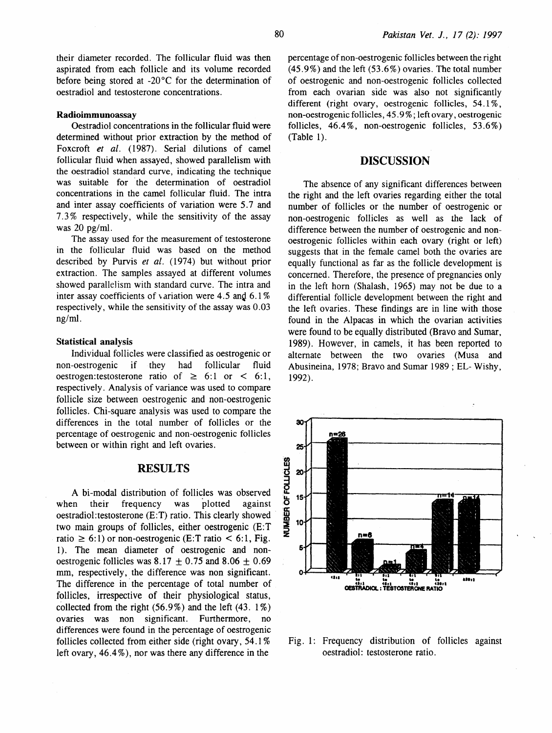their diameter recorded. The follicular fluid was then aspirated from each follicle and its volume recorded before being stored at -20°C for the determination of oestradiol and testosterone concentrations.

#### Radioimmunoassay

Oestradiol concentrations in the follicular fluid were determined without prior extraction by the method of Foxcroft *et al.* (1987). Serial dilutions of camel follicular fluid when assayed, showed parallelism with the oestradiol standard curve, indicating the technique was suitable for the determination of oestradiol concentrations in the camel follicular fluid. The intra and inter assay coefficients of variation were 5.7 and 7.3% respectively, while the sensitivity of the assay was 20 pg/ml.

The assay used for the measurement of testosterone in the follicular fluid was based on the method described by Purvis *et al.* (1974) but without prior extraction. The samples assayed at different volumes showed parallelism with standard curve. The intra and inter assay coefficients of variation were 4.5 and  $6.1\%$ respectively, while the sensitivity of the assay was 0.03 ng/ml.

#### Statistical analysis

Individual follicles were classified as oestrogenic or non-oestrogenic if they had follicular fluid oestrogen: testosterone ratio of  $\geq 6:1$  or  $\leq 6:1$ , respectively. Analysis of variance was used to compare follicle size between oestrogenic and non-oestrogenic follicles. Chi-square analysis was used to compare the differences in the total number of follicles or the percentage of oestrogenic and non-oestrogenic follicles between or within right and left ovaries.

### RESULTS

A bi-modal distribution of follicles was observed when their frequency was plotted against oestradiol:testosterone (E:T) ratio. This clearly showed two main groups of follicles, either oestrogenic  $(E:T \times^2 10)$ ratio  $\geq 6:1$ ) or non-oestrogenic (E:T ratio  $\leq 6:1$ , Fig. 1). The mean diameter of oestrogenic and nonoestrogenic follicles was 8.17  $\pm$  0.75 and 8.06  $\pm$  0.69 mm, respectively, the difference was non significant. The difference in the percentage of total number of follicles, irrespective of their physiological status, collected from the right  $(56.9\%)$  and the left  $(43.1\%)$ ovaries was non significant. Furthermore, no differences were found in the percentage of oestrogenic follicles collected from either side (right ovary, 54.1%) left ovary, 46.4% ), nor was there any difference in the

percentage of non-oestrogenic follicles between the right (45.9%) and the left (53.6%) ovaries. The total number of oestrogenic and non-oestrogenic follicles collected from each ovarian side was also not significantly different (right ovary, oestrogenic follicles, 54.1%, non-oestrogenic follicles, 45.9%; left ovary, oestrogenic follicles, 46.4%, non-oestrogenic follicles, 53.6%) (Table 1).

## DISCUSSION

The absence of any significant differences between the right and the left ovaries regarding either the total number of follicles or the number of oestrogenic or non-oestrogenic follicles as well as the lack of difference between the number of oestrogenic and nonoestrogenic follicles within each ovary (right or left) suggests that in the female camel both the ovaries are equally functional as far as the follicle development is concerned. Therefore, the presence of pregnancies only in the left horn (Shalash, 1965) may not be due to a differential follicle development between the right and the left ovaries. These findings are in line with those found in the Alpacas in which the ovarian activities were found to be equally distributed (Bravo and Sumar, 1989). However, in camels, it has been reported to alternate between the two ovaries (Musa and Abusineina, 1978; Bravo and Sumar 1989 ; EL- Wishy, 1992).



Fig. 1: Frequency distribution of follicles against oestradiol: testosterone ratio.